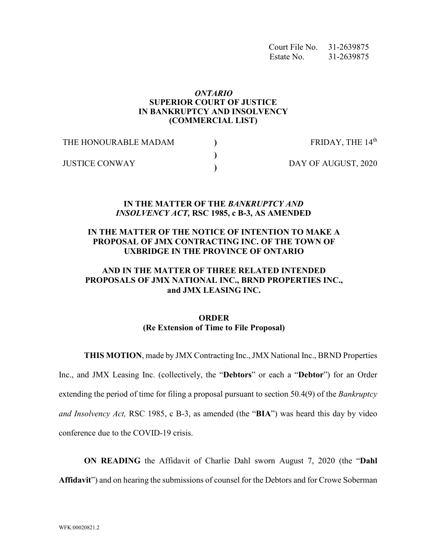Court File No. 31-2639875 Estate No. 31-2639875

### *ONTARIO*  **SUPERIOR COURT OF JUSTICE IN BANKRUPTCY AND INSOLVENCY (COMMERCIAL LIST)**

| THE HONOURABLE MADAM  | FRIDAY, THE 14th    |
|-----------------------|---------------------|
| <b>JUSTICE CONWAY</b> | DAY OF AUGUST, 2020 |

#### **IN THE MATTER OF THE** *BANKRUPTCY AND INSOLVENCY ACT,* **RSC 1985, c B-3, AS AMENDED**

### **IN THE MATTER OF THE NOTICE OF INTENTION TO MAKE A PROPOSAL OF JMX CONTRACTING INC. OF THE TOWN OF UXBRIDGE IN THE PROVINCE OF ONTARIO**

## **AND IN THE MATTER OF THREE RELATED INTENDED PROPOSALS OF JMX NATIONAL INC., BRND PROPERTIES INC., and JMX LEASING INC.**

# **ORDER (Re Extension of Time to File Proposal)**

**THIS MOTION**, made by JMX Contracting Inc., JMX National Inc., BRND Properties

Inc., and JMX Leasing Inc. (collectively, the "**Debtors**" or each a "**Debtor**") for an Order extending the period of time for filing a proposal pursuant to section 50.4(9) of the *Bankruptcy and Insolvency Act,* RSC 1985, c B-3, as amended (the "**BIA**") was heard this day by video conference due to the COVID-19 crisis.

**ON READING** the Affidavit of Charlie Dahl sworn August 7, 2020 (the "**Dahl Affidavit**") and on hearing the submissions of counsel for the Debtors and for Crowe Soberman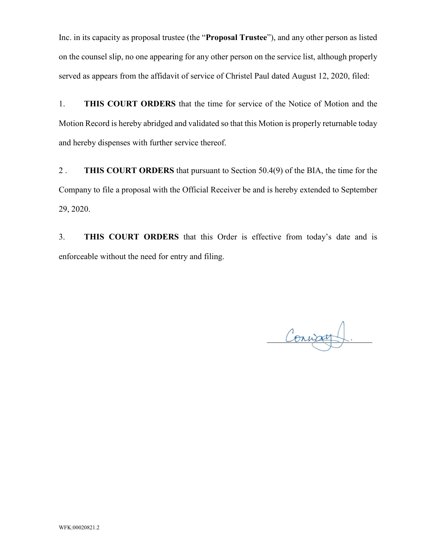Inc. in its capacity as proposal trustee (the "**Proposal Trustee**"), and any other person as listed on the counsel slip, no one appearing for any other person on the service list, although properly served as appears from the affidavit of service of Christel Paul dated August 12, 2020, filed:

1. **THIS COURT ORDERS** that the time for service of the Notice of Motion and the Motion Record is hereby abridged and validated so that this Motion is properly returnable today and hereby dispenses with further service thereof.

2 . **THIS COURT ORDERS** that pursuant to Section 50.4(9) of the BIA, the time for the Company to file a proposal with the Official Receiver be and is hereby extended to September 29, 2020.

3. **THIS COURT ORDERS** that this Order is effective from today's date and is enforceable without the need for entry and filing.

Convag